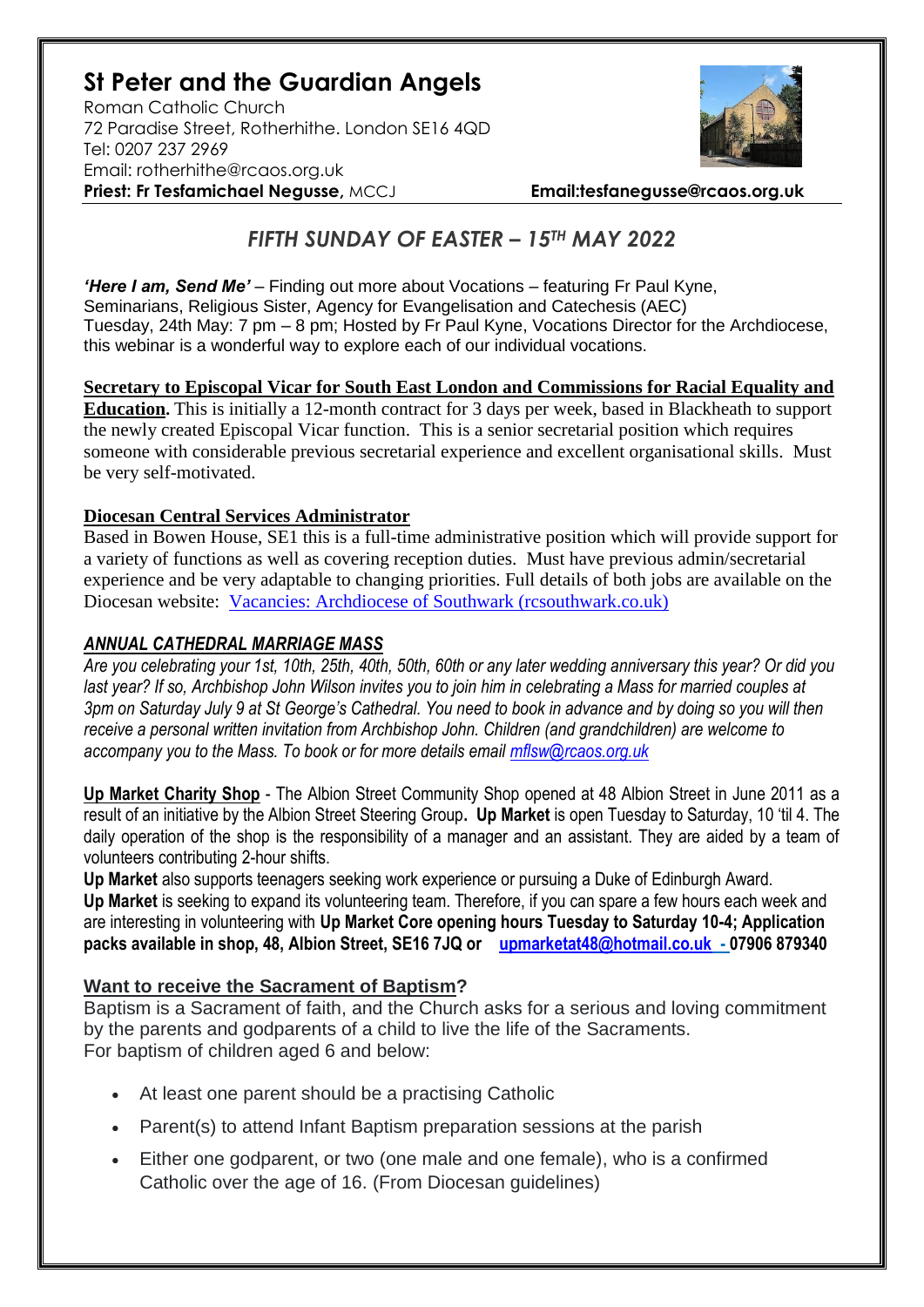# **St Peter and the Guardian Angels**

Roman Catholic Church 72 Paradise Street, Rotherhithe. London SE16 4QD [Tel: 0207](tel:0207) 237 2969 Email: rotherhithe@rcaos.org.uk **Priest: Fr Tesfamichael Negusse,** MCCJ **Email:tesfanegusse@rcaos.org.uk**



## *FIFTH SUNDAY OF EASTER – 15TH MAY 2022*

*'Here I am, Send Me'* – Finding out more about Vocations – featuring Fr Paul Kyne, Seminarians, Religious Sister, Agency for Evangelisation and Catechesis (AEC) Tuesday, 24th May: 7 pm – 8 pm; Hosted by Fr Paul Kyne, Vocations Director for the Archdiocese, this webinar is a wonderful way to explore each of our individual vocations.

**Secretary to Episcopal Vicar for South East London and Commissions for Racial Equality and Education.** This is initially a 12-month contract for 3 days per week, based in Blackheath to support the newly created Episcopal Vicar function. This is a senior secretarial position which requires someone with considerable previous secretarial experience and excellent organisational skills. Must be very self-motivated.

#### **Diocesan Central Services Administrator**

Based in Bowen House, SE1 this is a full-time administrative position which will provide support for a variety of functions as well as covering reception duties. Must have previous admin/secretarial experience and be very adaptable to changing priorities. Full details of both jobs are available on the Diocesan website: [Vacancies: Archdiocese of Southwark \(rcsouthwark.co.uk\)](https://www.rcsouthwark.co.uk/get-involved/vacancies/)

#### *ANNUAL CATHEDRAL MARRIAGE MASS*

*Are you celebrating your 1st, 10th, 25th, 40th, 50th, 60th or any later wedding anniversary this year? Or did you*  last year? If so, Archbishop John Wilson invites you to join him in celebrating a Mass for married couples at *3pm on Saturday July 9 at St George's Cathedral. You need to book in advance and by doing so you will then receive a personal written invitation from Archbishop John. Children (and grandchildren) are welcome to accompany you to the Mass. To book or for more details email [mflsw@rcaos.org.uk](mailto:mflsw@rcaos.org.uk)*

**Up Market Charity Shop** - The Albion Street Community Shop opened at 48 Albion Street in June 2011 as a result of an initiative by the Albion Street Steering Group**. Up Market** is open Tuesday to Saturday, 10 'til 4. The daily operation of the shop is the responsibility of a manager and an assistant. They are aided by a team of volunteers contributing 2-hour shifts.

**Up Market** also supports teenagers seeking work experience or pursuing a Duke of Edinburgh Award. **Up Market** is seeking to expand its volunteering team. Therefore, if you can spare a few hours each week and are interesting in volunteering with **Up Market Core opening hours Tuesday to Saturday 10-4; Application packs available in shop, 48, Albion Street, SE16 7JQ or [upmarketat48@hotmail.co.uk](mailto:upmarketat48@hotmail.co.uk) - 07906 879340**

### **Want to receive the Sacrament of Baptism?**

Baptism is a Sacrament of faith, and the Church asks for a serious and loving commitment by the parents and godparents of a child to live the life of the Sacraments. For baptism of children aged 6 and below:

- At least one parent should be a practising Catholic
- Parent(s) to attend Infant Baptism preparation sessions at the parish
- Either one godparent, or two (one male and one female), who is a confirmed Catholic over the age of 16. (From Diocesan guidelines)